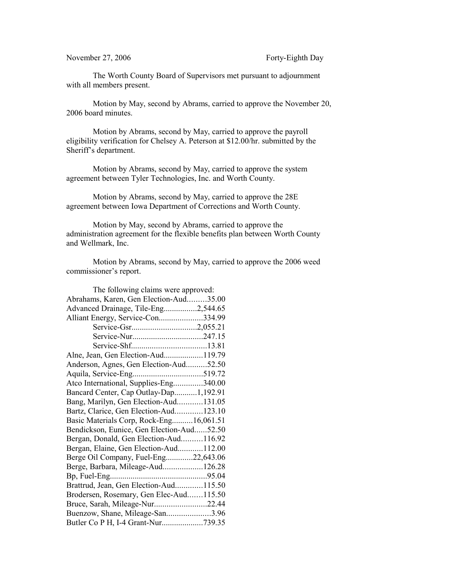## November 27, 2006 Forty-Eighth Day

The Worth County Board of Supervisors met pursuant to adjournment with all members present.

Motion by May, second by Abrams, carried to approve the November 20, 2006 board minutes.

Motion by Abrams, second by May, carried to approve the payroll eligibility verification for Chelsey A. Peterson at \$12.00/hr. submitted by the Sheriff's department.

Motion by Abrams, second by May, carried to approve the system agreement between Tyler Technologies, Inc. and Worth County.

Motion by Abrams, second by May, carried to approve the 28E agreement between Iowa Department of Corrections and Worth County.

Motion by May, second by Abrams, carried to approve the administration agreement for the flexible benefits plan between Worth County and Wellmark, Inc.

Motion by Abrams, second by May, carried to approve the 2006 weed commissioner's report.

| The following claims were approved:       |  |
|-------------------------------------------|--|
| Abrahams, Karen, Gen Election-Aud35.00    |  |
| Advanced Drainage, Tile-Eng2,544.65       |  |
| Alliant Energy, Service-Con334.99         |  |
|                                           |  |
|                                           |  |
|                                           |  |
| Alne, Jean, Gen Election-Aud119.79        |  |
| Anderson, Agnes, Gen Election-Aud52.50    |  |
|                                           |  |
| Atco International, Supplies-Eng340.00    |  |
| Bancard Center, Cap Outlay-Dap1,192.91    |  |
| Bang, Marilyn, Gen Election-Aud131.05     |  |
| Bartz, Clarice, Gen Election-Aud123.10    |  |
| Basic Materials Corp, Rock-Eng16,061.51   |  |
| Bendickson, Eunice, Gen Election-Aud52.50 |  |
| Bergan, Donald, Gen Election-Aud116.92    |  |
| Bergan, Elaine, Gen Election-Aud112.00    |  |
| Berge Oil Company, Fuel-Eng22,643.06      |  |
| Berge, Barbara, Mileage-Aud126.28         |  |
|                                           |  |
| Brattrud, Jean, Gen Election-Aud115.50    |  |
| Brodersen, Rosemary, Gen Elec-Aud115.50   |  |
| Bruce, Sarah, Mileage-Nur22.44            |  |
| Buenzow, Shane, Mileage-San3.96           |  |
| Butler Co P H, I-4 Grant-Nur739.35        |  |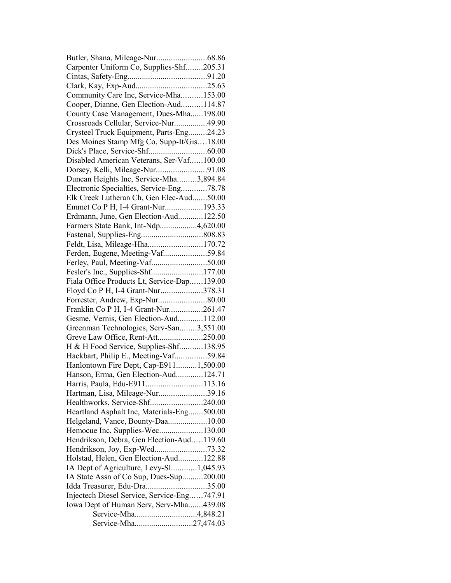| Carpenter Uniform Co, Supplies-Shf205.31    |  |
|---------------------------------------------|--|
|                                             |  |
|                                             |  |
| Community Care Inc, Service-Mha153.00       |  |
| Cooper, Dianne, Gen Election-Aud114.87      |  |
| County Case Management, Dues-Mha198.00      |  |
| Crossroads Cellular, Service-Nur49.90       |  |
| Crysteel Truck Equipment, Parts-Eng24.23    |  |
| Des Moines Stamp Mfg Co, Supp-It/Gis18.00   |  |
|                                             |  |
| Disabled American Veterans, Ser-Vaf100.00   |  |
| Dorsey, Kelli, Mileage-Nur91.08             |  |
| Duncan Heights Inc, Service-Mha3,894.84     |  |
| Electronic Specialties, Service-Eng78.78    |  |
| Elk Creek Lutheran Ch, Gen Elec-Aud50.00    |  |
| Emmet Co P H, I-4 Grant-Nur193.33           |  |
| Erdmann, June, Gen Election-Aud122.50       |  |
| Farmers State Bank, Int-Ndp4,620.00         |  |
|                                             |  |
| Feldt, Lisa, Mileage-Hha170.72              |  |
| Ferden, Eugene, Meeting-Vaf59.84            |  |
| Ferley, Paul, Meeting-Vaf50.00              |  |
| Fesler's Inc., Supplies-Shf177.00           |  |
| Fiala Office Products Lt, Service-Dap139.00 |  |
| Floyd Co P H, I-4 Grant-Nur378.31           |  |
| Forrester, Andrew, Exp-Nur80.00             |  |
| Franklin Co P H, I-4 Grant-Nur261.47        |  |
| Gesme, Vernis, Gen Election-Aud112.00       |  |
| Greenman Technologies, Serv-San3,551.00     |  |
| Greve Law Office, Rent-Att250.00            |  |
| H & H Food Service, Supplies-Shf138.95      |  |
| Hackbart, Philip E., Meeting-Vaf59.84       |  |
| Hanlontown Fire Dept, Cap-E9111,500.00      |  |
| Hanson, Erma, Gen Election-Aud124.71        |  |
| Harris, Paula, Edu-E911113.16               |  |
| Hartman, Lisa, Mileage-Nur39.16             |  |
| Healthworks, Service-Shf240.00              |  |
| Heartland Asphalt Inc, Materials-Eng500.00  |  |
| Helgeland, Vance, Bounty-Daa10.00           |  |
| Hemocue Inc, Supplies-Wec130.00             |  |
| Hendrikson, Debra, Gen Election-Aud119.60   |  |
| Hendrikson, Joy, Exp-Wed73.32               |  |
| Holstad, Helen, Gen Election-Aud122.88      |  |
|                                             |  |
| IA Dept of Agriculture, Levy-Sl1,045.93     |  |
| IA State Assn of Co Sup, Dues-Sup200.00     |  |
| Idda Treasurer, Edu-Dra35.00                |  |
| Injectech Diesel Service, Service-Eng747.91 |  |
| Iowa Dept of Human Serv, Serv-Mha439.08     |  |
| Service-Mha4,848.21                         |  |
| Service-Mha27,474.03                        |  |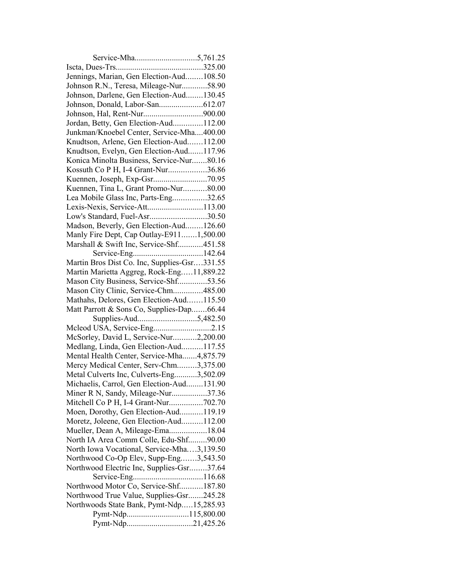| Jennings, Marian, Gen Election-Aud108.50     |  |
|----------------------------------------------|--|
| Johnson R.N., Teresa, Mileage-Nur58.90       |  |
| Johnson, Darlene, Gen Election-Aud130.45     |  |
|                                              |  |
|                                              |  |
| Jordan, Betty, Gen Election-Aud112.00        |  |
| Junkman/Knoebel Center, Service-Mha400.00    |  |
| Knudtson, Arlene, Gen Election-Aud112.00     |  |
| Knudtson, Evelyn, Gen Election-Aud117.96     |  |
| Konica Minolta Business, Service-Nur80.16    |  |
| Kossuth Co P H, I-4 Grant-Nur36.86           |  |
|                                              |  |
| Kuennen, Tina L, Grant Promo-Nur80.00        |  |
| Lea Mobile Glass Inc, Parts-Eng32.65         |  |
| Lexis-Nexis, Service-Att113.00               |  |
| Low's Standard, Fuel-Asr30.50                |  |
| Madson, Beverly, Gen Election-Aud126.60      |  |
| Manly Fire Dept, Cap Outlay-E9111,500.00     |  |
| Marshall & Swift Inc, Service-Shf451.58      |  |
|                                              |  |
| Martin Bros Dist Co. Inc, Supplies-Gsr331.55 |  |
| Martin Marietta Aggreg, Rock-Eng11,889.22    |  |
| Mason City Business, Service-Shf53.56        |  |
| Mason City Clinic, Service-Chm485.00         |  |
| Mathahs, Delores, Gen Election-Aud115.50     |  |
| Matt Parrott & Sons Co, Supplies-Dap66.44    |  |
|                                              |  |
| Mcleod USA, Service-Eng2.15                  |  |
| McSorley, David L, Service-Nur2,200.00       |  |
| Medlang, Linda, Gen Election-Aud117.55       |  |
| Mental Health Center, Service-Mha4,875.79    |  |
| Mercy Medical Center, Serv-Chm3,375.00       |  |
| Metal Culverts Inc, Culverts-Eng3,502.09     |  |
| Michaelis, Carrol, Gen Election-Aud131.90    |  |
| Miner R N, Sandy, Mileage-Nur37.36           |  |
| Mitchell Co P H, I-4 Grant-Nur702.70         |  |
| Moen, Dorothy, Gen Election-Aud119.19        |  |
| Moretz, Joleene, Gen Election-Aud112.00      |  |
| Mueller, Dean A, Mileage-Ema18.04            |  |
| North IA Area Comm Colle, Edu-Shf90.00       |  |
| North Iowa Vocational, Service-Mha3,139.50   |  |
| Northwood Co-Op Elev, Supp-Eng3,543.50       |  |
| Northwood Electric Inc, Supplies-Gsr37.64    |  |
| Service-Eng                                  |  |
| Northwood Motor Co, Service-Shf187.80        |  |
| Northwood True Value, Supplies-Gsr245.28     |  |
| Northwoods State Bank, Pymt-Ndp15,285.93     |  |
|                                              |  |
| Pymt-Ndp21,425.26                            |  |
|                                              |  |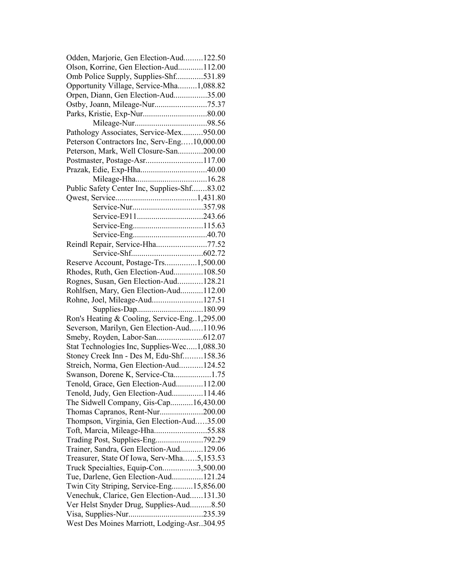| Odden, Marjorie, Gen Election-Aud122.50        |  |
|------------------------------------------------|--|
| Olson, Korrine, Gen Election-Aud112.00         |  |
| Omb Police Supply, Supplies-Shf531.89          |  |
| Opportunity Village, Service-Mha1,088.82       |  |
| Orpen, Diann, Gen Election-Aud35.00            |  |
|                                                |  |
|                                                |  |
|                                                |  |
| Pathology Associates, Service-Mex950.00        |  |
| Peterson Contractors Inc, Serv-Eng10,000.00    |  |
| Peterson, Mark, Well Closure-San200.00         |  |
| Postmaster, Postage-Asr117.00                  |  |
| Prazak, Edie, Exp-Hha40.00                     |  |
|                                                |  |
| Public Safety Center Inc, Supplies-Shf83.02    |  |
|                                                |  |
|                                                |  |
|                                                |  |
|                                                |  |
|                                                |  |
|                                                |  |
| Reindl Repair, Service-Hha77.52                |  |
|                                                |  |
| Reserve Account, Postage-Trs1,500.00           |  |
| Rhodes, Ruth, Gen Election-Aud108.50           |  |
| Rognes, Susan, Gen Election-Aud128.21          |  |
| Rohlfsen, Mary, Gen Election-Aud112.00         |  |
| Rohne, Joel, Mileage-Aud127.51                 |  |
|                                                |  |
| Ron's Heating & Cooling, Service-Eng. 1,295.00 |  |
| Severson, Marilyn, Gen Election-Aud110.96      |  |
|                                                |  |
| Stat Technologies Inc, Supplies-Wec1,088.30    |  |
| Stoney Creek Inn - Des M, Edu-Shf158.36        |  |
| Streich, Norma, Gen Election-Aud124.52         |  |
| Swanson, Dorene K, Service-Cta1.75             |  |
| Tenold, Grace, Gen Election-Aud112.00          |  |
| Tenold, Judy, Gen Election-Aud114.46           |  |
| The Sidwell Company, Gis-Cap16,430.00          |  |
| Thomas Capranos, Rent-Nur200.00                |  |
| Thompson, Virginia, Gen Election-Aud35.00      |  |
|                                                |  |
| Trading Post, Supplies-Eng792.29               |  |
| Trainer, Sandra, Gen Election-Aud129.06        |  |
| Treasurer, State Of Iowa, Serv-Mha5,153.53     |  |
| Truck Specialties, Equip-Con3,500.00           |  |
| Tue, Darlene, Gen Election-Aud121.24           |  |
|                                                |  |
| Twin City Striping, Service-Eng15,856.00       |  |
| Venechuk, Clarice, Gen Election-Aud131.30      |  |
| Ver Helst Snyder Drug, Supplies-Aud8.50        |  |
|                                                |  |
| West Des Moines Marriott, Lodging-Asr304.95    |  |